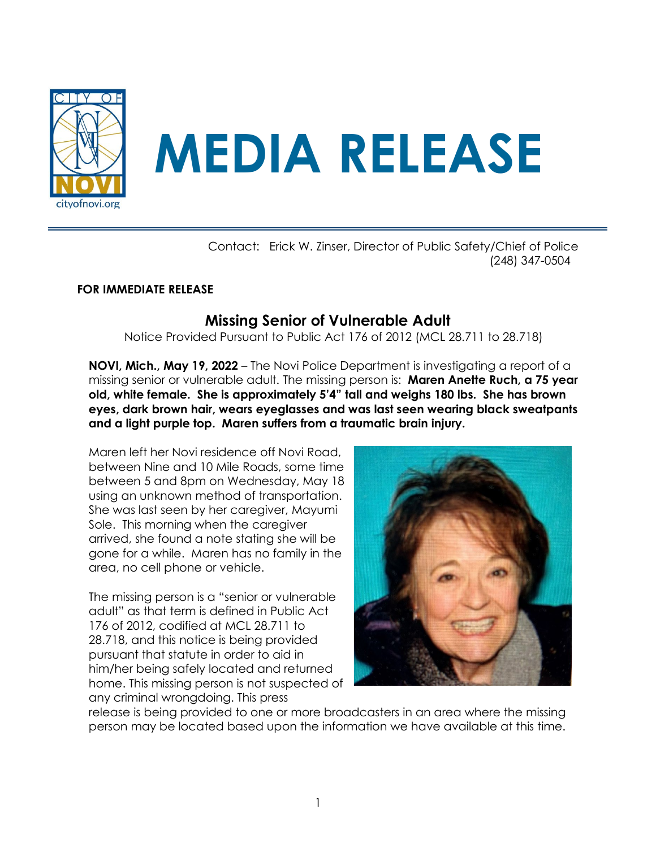

 Contact: Erick W. Zinser, Director of Public Safety/Chief of Police (248) 347-0504

## **FOR IMMEDIATE RELEASE**

## **Missing Senior of Vulnerable Adult**

Notice Provided Pursuant to Public Act 176 of 2012 (MCL 28.711 to 28.718)

**NOVI, Mich., May 19, 2022** – The Novi Police Department is investigating a report of a missing senior or vulnerable adult. The missing person is: **Maren Anette Ruch, a 75 year old, white female. She is approximately 5'4" tall and weighs 180 lbs. She has brown eyes, dark brown hair, wears eyeglasses and was last seen wearing black sweatpants and a light purple top. Maren suffers from a traumatic brain injury.** 

Maren left her Novi residence off Novi Road, between Nine and 10 Mile Roads, some time between 5 and 8pm on Wednesday, May 18 using an unknown method of transportation. She was last seen by her caregiver, Mayumi Sole. This morning when the caregiver arrived, she found a note stating she will be gone for a while. Maren has no family in the area, no cell phone or vehicle.

The missing person is a "senior or vulnerable adult" as that term is defined in Public Act 176 of 2012, codified at MCL 28.711 to 28.718, and this notice is being provided pursuant that statute in order to aid in him/her being safely located and returned home. This missing person is not suspected of any criminal wrongdoing. This press



release is being provided to one or more broadcasters in an area where the missing person may be located based upon the information we have available at this time.